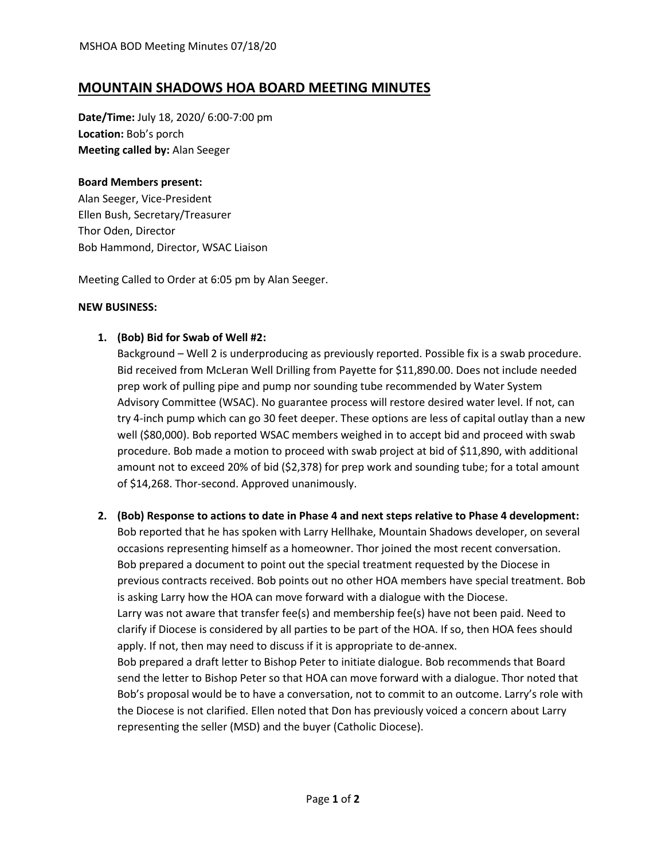# **MOUNTAIN SHADOWS HOA BOARD MEETING MINUTES**

**Date/Time:** July 18, 2020/ 6:00-7:00 pm **Location:** Bob's porch **Meeting called by:** Alan Seeger

### **Board Members present:**

Alan Seeger, Vice-President Ellen Bush, Secretary/Treasurer Thor Oden, Director Bob Hammond, Director, WSAC Liaison

Meeting Called to Order at 6:05 pm by Alan Seeger.

#### **NEW BUSINESS:**

### **1. (Bob) Bid for Swab of Well #2:**

Background – Well 2 is underproducing as previously reported. Possible fix is a swab procedure. Bid received from McLeran Well Drilling from Payette for \$11,890.00. Does not include needed prep work of pulling pipe and pump nor sounding tube recommended by Water System Advisory Committee (WSAC). No guarantee process will restore desired water level. If not, can try 4-inch pump which can go 30 feet deeper. These options are less of capital outlay than a new well (\$80,000). Bob reported WSAC members weighed in to accept bid and proceed with swab procedure. Bob made a motion to proceed with swab project at bid of \$11,890, with additional amount not to exceed 20% of bid (\$2,378) for prep work and sounding tube; for a total amount of \$14,268. Thor-second. Approved unanimously.

# **2. (Bob) Response to actions to date in Phase 4 and next steps relative to Phase 4 development:** Bob reported that he has spoken with Larry Hellhake, Mountain Shadows developer, on several occasions representing himself as a homeowner. Thor joined the most recent conversation. Bob prepared a document to point out the special treatment requested by the Diocese in previous contracts received. Bob points out no other HOA members have special treatment. Bob is asking Larry how the HOA can move forward with a dialogue with the Diocese. Larry was not aware that transfer fee(s) and membership fee(s) have not been paid. Need to clarify if Diocese is considered by all parties to be part of the HOA. If so, then HOA fees should apply. If not, then may need to discuss if it is appropriate to de-annex. Bob prepared a draft letter to Bishop Peter to initiate dialogue. Bob recommends that Board send the letter to Bishop Peter so that HOA can move forward with a dialogue. Thor noted that Bob's proposal would be to have a conversation, not to commit to an outcome. Larry's role with the Diocese is not clarified. Ellen noted that Don has previously voiced a concern about Larry representing the seller (MSD) and the buyer (Catholic Diocese).